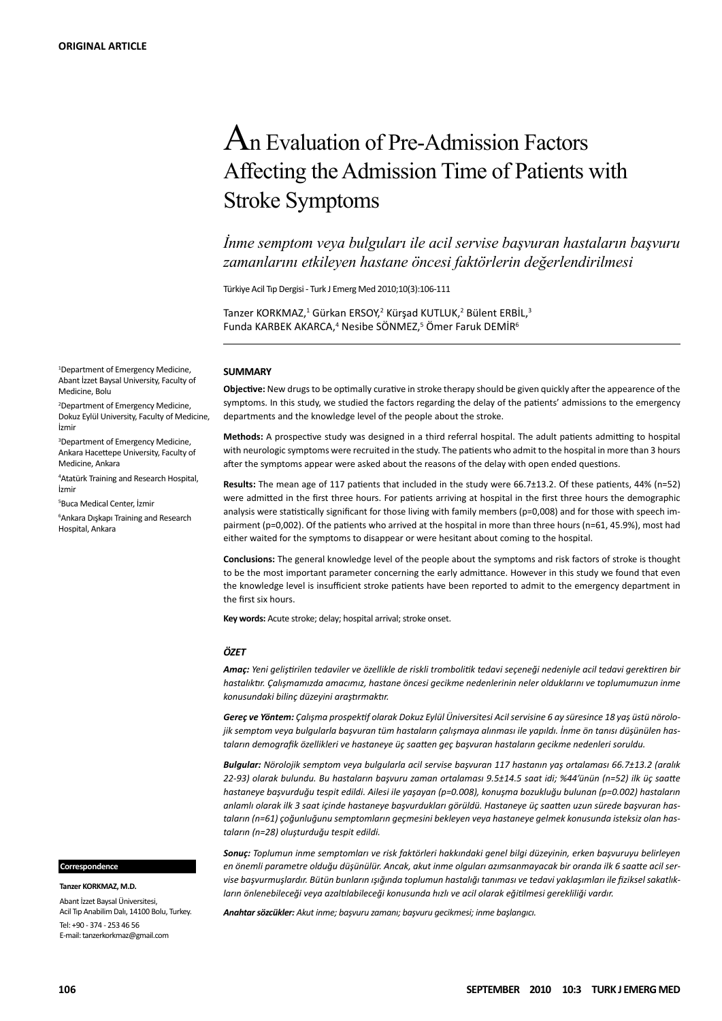# An Evaluation of Pre-Admission Factors Affecting the Admission Time of Patients with Stroke Symptoms

*İnme semptom veya bulguları ile acil servise başvuran hastaların başvuru zamanlarını etkileyen hastane öncesi faktörlerin değerlendirilmesi*

Türkiye Acil Tıp Dergisi - Turk J Emerg Med 2010;10(3):106-111

Tanzer KORKMAZ,<sup>1</sup> Gürkan ERSOY,<sup>2</sup> Kürşad KUTLUK,<sup>2</sup> Bülent ERBİL,<sup>3</sup> Funda KARBEK AKARCA,<sup>4</sup> Nesibe SÖNMEZ,<sup>5</sup> Ömer Faruk DEMİR<sup>6</sup>

#### **SUMMARY**

**Objective:** New drugs to be optimally curative in stroke therapy should be given quickly after the appearence of the symptoms. In this study, we studied the factors regarding the delay of the patients' admissions to the emergency departments and the knowledge level of the people about the stroke.

**Methods:** A prospective study was designed in a third referral hospital. The adult patients admitting to hospital with neurologic symptoms were recruited in the study. The patients who admit to the hospital in more than 3 hours after the symptoms appear were asked about the reasons of the delay with open ended questions.

**Results:** The mean age of 117 patients that included in the study were 66.7±13.2. Of these patients, 44% (n=52) were admitted in the first three hours. For patients arriving at hospital in the first three hours the demographic analysis were statistically significant for those living with family members (p=0,008) and for those with speech impairment (p=0,002). Of the patients who arrived at the hospital in more than three hours (n=61, 45.9%), most had either waited for the symptoms to disappear or were hesitant about coming to the hospital.

**Conclusions:** The general knowledge level of the people about the symptoms and risk factors of stroke is thought to be the most important parameter concerning the early admittance. However in this study we found that even the knowledge level is insufficient stroke patients have been reported to admit to the emergency department in the first six hours.

**Key words:** Acute stroke; delay; hospital arrival; stroke onset.

#### *ÖZET*

*Amaç: Yeni geliştirilen tedaviler ve özellikle de riskli trombolitik tedavi seçeneği nedeniyle acil tedavi gerektiren bir hastalıktır. Çalışmamızda amacımız, hastane öncesi gecikme nedenlerinin neler olduklarını ve toplumumuzun inme konusundaki bilinç düzeyini araştırmaktır.*

*Gereç ve Yöntem: Çalışma prospektif olarak Dokuz Eylül Üniversitesi Acil servisine 6 ay süresince 18 yaş üstü nörolojik semptom veya bulgularla başvuran tüm hastaların çalışmaya alınması ile yapıldı. İnme ön tanısı düşünülen hastaların demografik özellikleri ve hastaneye üç saatten geç başvuran hastaların gecikme nedenleri soruldu.*

*Bulgular: Nörolojik semptom veya bulgularla acil servise başvuran 117 hastanın yaş ortalaması 66.7±13.2 (aralık 22-93) olarak bulundu. Bu hastaların başvuru zaman ortalaması 9.5±14.5 saat idi; %44'ünün (n=52) ilk üç saatte hastaneye başvurduğu tespit edildi. Ailesi ile yaşayan (p=0.008), konuşma bozukluğu bulunan (p=0.002) hastaların anlamlı olarak ilk 3 saat içinde hastaneye başvurdukları görüldü. Hastaneye üç saatten uzun sürede başvuran hastaların (n=61) çoğunluğunu semptomların geçmesini bekleyen veya hastaneye gelmek konusunda isteksiz olan hastaların (n=28) oluşturduğu tespit edildi.* 

*Sonuç: Toplumun inme semptomları ve risk faktörleri hakkındaki genel bilgi düzeyinin, erken başvuruyu belirleyen en önemli parametre olduğu düşünülür. Ancak, akut inme olguları azımsanmayacak bir oranda ilk 6 saatte acil servise başvurmuşlardır. Bütün bunların ışığında toplumun hastalığı tanıması ve tedavi yaklaşımları ile fiziksel sakatlıkların önlenebileceği veya azaltılabileceği konusunda hızlı ve acil olarak eğitilmesi gerekliliği vardır.*

*Anahtar sözcükler: Akut inme; başvuru zamanı; başvuru gecikmesi; inme başlangıcı.*

1 Department of Emergency Medicine, Abant İzzet Baysal University, Faculty of Medicine, Bolu

<sup>2</sup>Department of Emergency Medicine, Dokuz Eylül University, Faculty of Medicine, İzmir

<sup>3</sup>Department of Emergency Medicine, Ankara Hacettepe University, Faculty of Medicine, Ankara

4 Atatürk Training and Research Hospital, İzmir

5 Buca Medical Center, İzmir

6 Ankara Dışkapı Training and Research Hospital, Ankara

#### **Correspondence**

**Tanzer KORKMAZ, M.D.** Abant İzzet Baysal Üniversitesi, Acil Tıp Anabilim Dalı, 14100 Bolu, Turkey. Tel: +90 - 374 - 253 46 56 E-mail: tanzerkorkmaz@gmail.com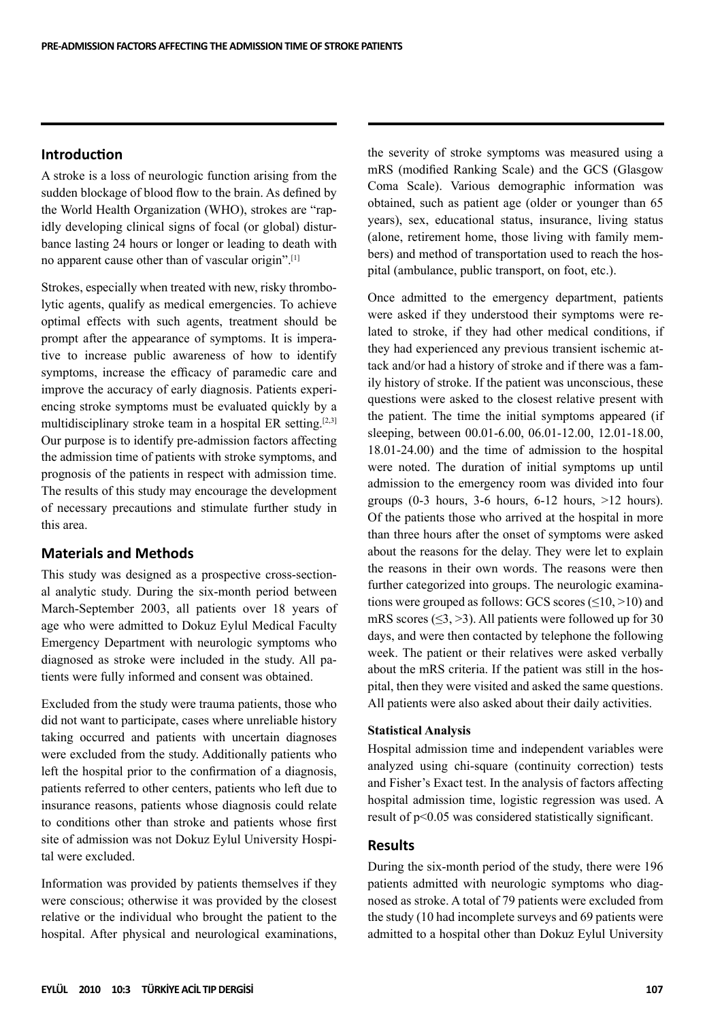# **Introduction**

A stroke is a loss of neurologic function arising from the sudden blockage of blood flow to the brain. As defined by the World Health Organization (WHO), strokes are "rapidly developing clinical signs of focal (or global) disturbance lasting 24 hours or longer or leading to death with no apparent cause other than of vascular origin".[1]

Strokes, especially when treated with new, risky thrombolytic agents, qualify as medical emergencies. To achieve optimal effects with such agents, treatment should be prompt after the appearance of symptoms. It is imperative to increase public awareness of how to identify symptoms, increase the efficacy of paramedic care and improve the accuracy of early diagnosis. Patients experiencing stroke symptoms must be evaluated quickly by a multidisciplinary stroke team in a hospital ER setting.[2,3] Our purpose is to identify pre-admission factors affecting the admission time of patients with stroke symptoms, and prognosis of the patients in respect with admission time. The results of this study may encourage the development of necessary precautions and stimulate further study in this area.

# **Materials and Methods**

This study was designed as a prospective cross-sectional analytic study. During the six-month period between March-September 2003, all patients over 18 years of age who were admitted to Dokuz Eylul Medical Faculty Emergency Department with neurologic symptoms who diagnosed as stroke were included in the study. All patients were fully informed and consent was obtained.

Excluded from the study were trauma patients, those who did not want to participate, cases where unreliable history taking occurred and patients with uncertain diagnoses were excluded from the study. Additionally patients who left the hospital prior to the confirmation of a diagnosis, patients referred to other centers, patients who left due to insurance reasons, patients whose diagnosis could relate to conditions other than stroke and patients whose first site of admission was not Dokuz Eylul University Hospital were excluded.

Information was provided by patients themselves if they were conscious; otherwise it was provided by the closest relative or the individual who brought the patient to the hospital. After physical and neurological examinations, the severity of stroke symptoms was measured using a mRS (modified Ranking Scale) and the GCS (Glasgow Coma Scale). Various demographic information was obtained, such as patient age (older or younger than 65 years), sex, educational status, insurance, living status (alone, retirement home, those living with family members) and method of transportation used to reach the hospital (ambulance, public transport, on foot, etc.).

Once admitted to the emergency department, patients were asked if they understood their symptoms were related to stroke, if they had other medical conditions, if they had experienced any previous transient ischemic attack and/or had a history of stroke and if there was a family history of stroke. If the patient was unconscious, these questions were asked to the closest relative present with the patient. The time the initial symptoms appeared (if sleeping, between 00.01-6.00, 06.01-12.00, 12.01-18.00, 18.01-24.00) and the time of admission to the hospital were noted. The duration of initial symptoms up until admission to the emergency room was divided into four groups  $(0-3$  hours,  $3-6$  hours,  $6-12$  hours,  $>12$  hours). Of the patients those who arrived at the hospital in more than three hours after the onset of symptoms were asked about the reasons for the delay. They were let to explain the reasons in their own words. The reasons were then further categorized into groups. The neurologic examinations were grouped as follows: GCS scores  $(\leq 10, \geq 10)$  and mRS scores  $( \leq 3, \geq 3)$ . All patients were followed up for 30 days, and were then contacted by telephone the following week. The patient or their relatives were asked verbally about the mRS criteria. If the patient was still in the hospital, then they were visited and asked the same questions. All patients were also asked about their daily activities.

## **Statistical Analysis**

Hospital admission time and independent variables were analyzed using chi-square (continuity correction) tests and Fisher's Exact test. In the analysis of factors affecting hospital admission time, logistic regression was used. A result of p<0.05 was considered statistically significant.

## **Results**

During the six-month period of the study, there were 196 patients admitted with neurologic symptoms who diagnosed as stroke. A total of 79 patients were excluded from the study (10 had incomplete surveys and 69 patients were admitted to a hospital other than Dokuz Eylul University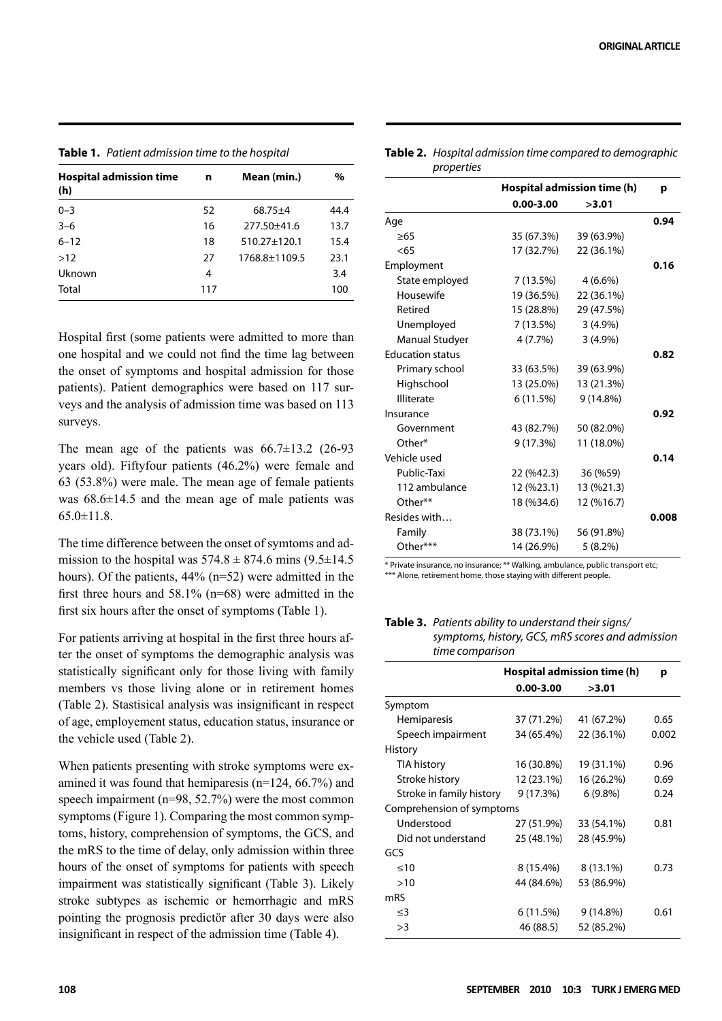| <b>Hospital admission time</b><br>(h) | n   | Mean (min.)        | %    |
|---------------------------------------|-----|--------------------|------|
| $0 - 3$                               | 52  | $68.75 + 4$        | 44.4 |
| $3 - 6$                               | 16  | 277.50±41.6        | 13.7 |
| $6 - 12$                              | 18  | $510.27 \pm 120.1$ | 15.4 |
| >12                                   | 27  | 1768.8±1109.5      | 23.1 |
| Uknown                                | 4   |                    | 3.4  |
| Total                                 | 117 |                    | 100  |

**Table 1.** *Patient admission time to the hospital*

Hospital first (some patients were admitted to more than one hospital and we could not find the time lag between the onset of symptoms and hospital admission for those patients). Patient demographics were based on 117 surveys and the analysis of admission time was based on 113 surveys.

The mean age of the patients was  $66.7\pm13.2$  (26-93) years old). Fiftyfour patients (46.2%) were female and 63 (53.8%) were male. The mean age of female patients was 68.6±14.5 and the mean age of male patients was  $65.0 \pm 11.8$ .

The time difference between the onset of symtoms and admission to the hospital was  $574.8 \pm 874.6$  mins  $(9.5 \pm 14.5)$ hours). Of the patients,  $44\%$  (n=52) were admitted in the first three hours and 58.1% (n=68) were admitted in the first six hours after the onset of symptoms (Table 1).

For patients arriving at hospital in the first three hours after the onset of symptoms the demographic analysis was statistically significant only for those living with family members vs those living alone or in retirement homes (Table 2). Stastisical analysis was insignificant in respect of age, employement status, education status, insurance or the vehicle used (Table 2).

When patients presenting with stroke symptoms were examined it was found that hemiparesis (n=124, 66.7%) and speech impairment (n=98, 52.7%) were the most common symptoms (Figure 1). Comparing the most common symptoms, history, comprehension of symptoms, the GCS, and the mRS to the time of delay, only admission within three hours of the onset of symptoms for patients with speech impairment was statistically significant (Table 3). Likely stroke subtypes as ischemic or hemorrhagic and mRS pointing the prognosis predictör after 30 days were also insignificant in respect of the admission time (Table 4).

| properties              |               |                             |       |
|-------------------------|---------------|-----------------------------|-------|
|                         |               | Hospital admission time (h) |       |
|                         | $0.00 - 3.00$ | >3.01                       |       |
| Age                     |               |                             | 0.94  |
| $\geq 65$               | 35 (67.3%)    | 39 (63.9%)                  |       |
| <65                     | 17 (32.7%)    | 22 (36.1%)                  |       |
| Employment              |               |                             | 0.16  |
| State employed          | 7(13.5%)      | $4(6.6\%)$                  |       |
| Housewife               | 19 (36.5%)    | 22 (36.1%)                  |       |
| Retired                 | 15 (28.8%)    | 29 (47.5%)                  |       |
| Unemployed              | 7 (13.5%)     | $3(4.9\%)$                  |       |
| <b>Manual Studyer</b>   | 4 (7.7%)      | $3(4.9\%)$                  |       |
| <b>Education status</b> |               |                             | 0.82  |
| Primary school          | 33 (63.5%)    | 39 (63.9%)                  |       |
| Highschool              | 13 (25.0%)    | 13 (21.3%)                  |       |
| <b>Illiterate</b>       | 6 (11.5%)     | $9(14.8\%)$                 |       |
| Insurance               |               |                             | 0.92  |
| Government              | 43 (82.7%)    | 50 (82.0%)                  |       |
| Other*                  | 9 (17.3%)     | 11 (18.0%)                  |       |
| Vehicle used            |               |                             | 0.14  |
| Public-Taxi             | 22 (%42.3)    | 36 (%59)                    |       |
| 112 ambulance           | 12 (%23.1)    | 13 (%21.3)                  |       |
| Other**                 | 18 (%34.6)    | 12 (%16.7)                  |       |
| Resides with            |               |                             | 0.008 |
| Family                  | 38 (73.1%)    | 56 (91.8%)                  |       |
| Other***                | 14 (26.9%)    | $5(8.2\%)$                  |       |

**Table 2.** *Hospital admission time compared to demographic properties*

\* Private insurance, no insurance; \*\* Walking, ambulance, public transport etc; \*\*\* Alone, retirement home, those staying with different people.

**Table 3.** *Patients ability to understand their signs/ symptoms, history, GCS, mRS scores and admission time comparison*

|                           | Hospital admission time (h) |             | р     |
|---------------------------|-----------------------------|-------------|-------|
|                           | $0.00 - 3.00$               | >3.01       |       |
| Symptom                   |                             |             |       |
| Hemiparesis               | 37 (71.2%)                  | 41 (67.2%)  | 0.65  |
| Speech impairment         | 34 (65.4%)                  | 22 (36.1%)  | 0.002 |
| History                   |                             |             |       |
| TIA history               | 16 (30.8%)                  | 19 (31.1%)  | 0.96  |
| Stroke history            | 12 (23.1%)                  | 16 (26.2%)  | 0.69  |
| Stroke in family history  | 9 (17.3%)                   | $6(9.8\%)$  | 0.24  |
| Comprehension of symptoms |                             |             |       |
| Understood                | 27 (51.9%)                  | 33 (54.1%)  | 0.81  |
| Did not understand        | 25 (48.1%)                  | 28 (45.9%)  |       |
| GCS                       |                             |             |       |
| $\leq 10$                 | 8 (15.4%)                   | 8 (13.1%)   | 0.73  |
| >10                       | 44 (84.6%)                  | 53 (86.9%)  |       |
| mRS                       |                             |             |       |
| ≤3                        | 6 (11.5%)                   | $9(14.8\%)$ | 0.61  |
| >3                        | 46 (88.5)                   | 52 (85.2%)  |       |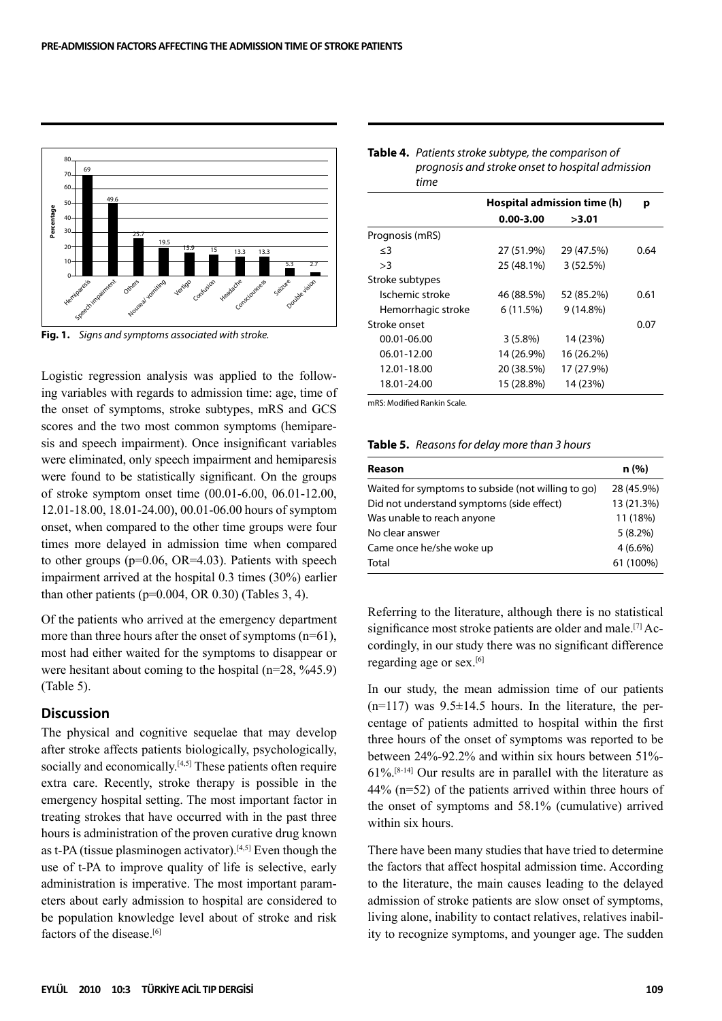

**Fig. 1.** *Signs and symptoms associated with stroke.*

Logistic regression analysis was applied to the following variables with regards to admission time: age, time of the onset of symptoms, stroke subtypes, mRS and GCS scores and the two most common symptoms (hemiparesis and speech impairment). Once insignificant variables were eliminated, only speech impairment and hemiparesis were found to be statistically significant. On the groups of stroke symptom onset time (00.01-6.00, 06.01-12.00, 12.01-18.00, 18.01-24.00), 00.01-06.00 hours of symptom onset, when compared to the other time groups were four times more delayed in admission time when compared to other groups (p=0.06, OR=4.03). Patients with speech impairment arrived at the hospital 0.3 times (30%) earlier than other patients ( $p=0.004$ , OR  $0.30$ ) (Tables 3, 4).

Of the patients who arrived at the emergency department more than three hours after the onset of symptoms (n=61), most had either waited for the symptoms to disappear or were hesitant about coming to the hospital (n=28, %45.9) (Table 5).

### **Discussion**

The physical and cognitive sequelae that may develop after stroke affects patients biologically, psychologically, socially and economically.<sup>[4,5]</sup> These patients often require extra care. Recently, stroke therapy is possible in the emergency hospital setting. The most important factor in treating strokes that have occurred with in the past three hours is administration of the proven curative drug known as t-PA (tissue plasminogen activator).<sup>[4,5]</sup> Even though the use of t-PA to improve quality of life is selective, early administration is imperative. The most important parameters about early admission to hospital are considered to be population knowledge level about of stroke and risk factors of the disease.<sup>[6]</sup>

| time               |                             |             |      |
|--------------------|-----------------------------|-------------|------|
|                    | Hospital admission time (h) |             | р    |
|                    | $0.00 - 3.00$               | >3.01       |      |
| Prognosis (mRS)    |                             |             |      |
| ≤3                 | 27 (51.9%)                  | 29 (47.5%)  | 0.64 |
| >3                 | 25 (48.1%)                  | 3(52.5%)    |      |
| Stroke subtypes    |                             |             |      |
| Ischemic stroke    | 46 (88.5%)                  | 52 (85.2%)  | 0.61 |
| Hemorrhagic stroke | 6(11.5%)                    | $9(14.8\%)$ |      |
| Stroke onset       |                             |             | 0.07 |
| 00.01-06.00        | $3(5.8\%)$                  | 14 (23%)    |      |
| 06.01-12.00        | 14 (26.9%)                  | 16 (26.2%)  |      |
| 12.01-18.00        | 20 (38.5%)                  | 17 (27.9%)  |      |
| 18.01-24.00        | 15 (28.8%)                  | 14 (23%)    |      |

**Table 4.** *Patients stroke subtype, the comparison of* 

*prognosis and stroke onset to hospital admission* 

mRS: Modified Rankin Scale.

**Table 5.** *Reasons for delay more than 3 hours* 

| Reason                                             | n (%)      |
|----------------------------------------------------|------------|
| Waited for symptoms to subside (not willing to go) | 28 (45.9%) |
| Did not understand symptoms (side effect)          | 13 (21.3%) |
| Was unable to reach anyone                         | 11 (18%)   |
| No clear answer                                    | $5(8.2\%)$ |
| Came once he/she woke up                           | $4(6.6\%)$ |
| Total                                              | 61 (100%)  |

Referring to the literature, although there is no statistical significance most stroke patients are older and male.<sup>[7]</sup> Accordingly, in our study there was no significant difference regarding age or sex.[6]

In our study, the mean admission time of our patients  $(n=117)$  was  $9.5\pm14.5$  hours. In the literature, the percentage of patients admitted to hospital within the first three hours of the onset of symptoms was reported to be between 24%-92.2% and within six hours between 51%-  $61\%$ <sup>[8-14]</sup> Our results are in parallel with the literature as 44% (n=52) of the patients arrived within three hours of the onset of symptoms and 58.1% (cumulative) arrived within six hours.

There have been many studies that have tried to determine the factors that affect hospital admission time. According to the literature, the main causes leading to the delayed admission of stroke patients are slow onset of symptoms, living alone, inability to contact relatives, relatives inability to recognize symptoms, and younger age. The sudden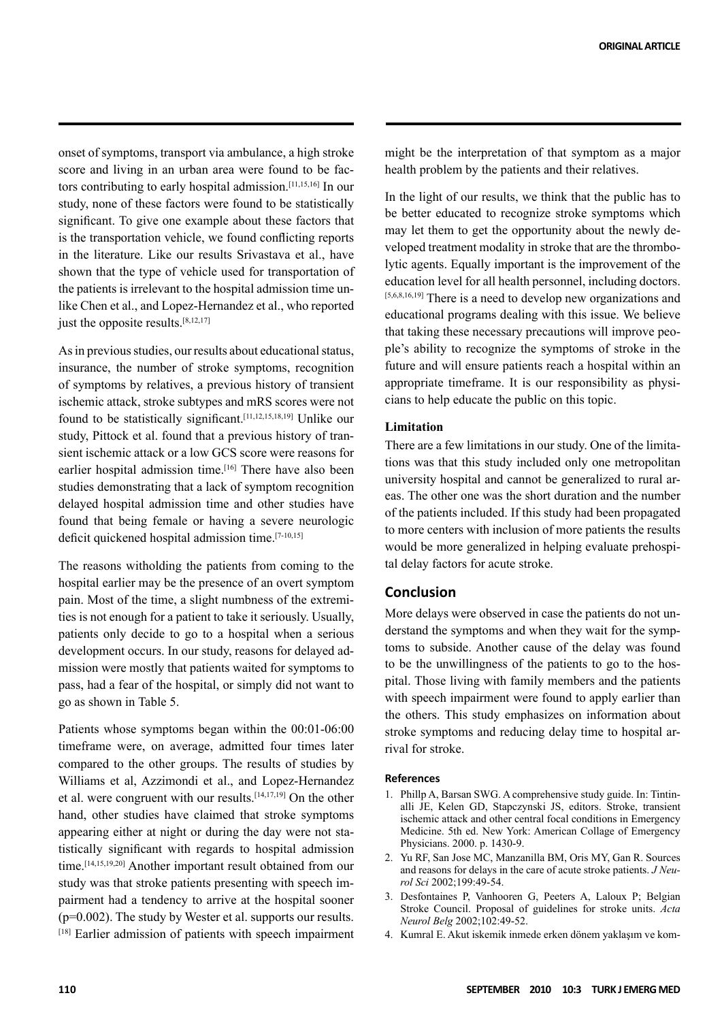onset of symptoms, transport via ambulance, a high stroke score and living in an urban area were found to be factors contributing to early hospital admission.[11,15,16] In our study, none of these factors were found to be statistically significant. To give one example about these factors that is the transportation vehicle, we found conflicting reports in the literature. Like our results Srivastava et al., have shown that the type of vehicle used for transportation of the patients is irrelevant to the hospital admission time unlike Chen et al., and Lopez-Hernandez et al., who reported just the opposite results.<sup>[8,12,17]</sup>

As in previous studies, our results about educational status, insurance, the number of stroke symptoms, recognition of symptoms by relatives, a previous history of transient ischemic attack, stroke subtypes and mRS scores were not found to be statistically significant.[11,12,15,18,19] Unlike our study, Pittock et al. found that a previous history of transient ischemic attack or a low GCS score were reasons for earlier hospital admission time.<sup>[16]</sup> There have also been studies demonstrating that a lack of symptom recognition delayed hospital admission time and other studies have found that being female or having a severe neurologic deficit quickened hospital admission time.[7-10,15]

The reasons witholding the patients from coming to the hospital earlier may be the presence of an overt symptom pain. Most of the time, a slight numbness of the extremities is not enough for a patient to take it seriously. Usually, patients only decide to go to a hospital when a serious development occurs. In our study, reasons for delayed admission were mostly that patients waited for symptoms to pass, had a fear of the hospital, or simply did not want to go as shown in Table 5.

Patients whose symptoms began within the 00:01-06:00 timeframe were, on average, admitted four times later compared to the other groups. The results of studies by Williams et al, Azzimondi et al., and Lopez-Hernandez et al. were congruent with our results.[14,17,19] On the other hand, other studies have claimed that stroke symptoms appearing either at night or during the day were not statistically significant with regards to hospital admission time.[14,15,19,20] Another important result obtained from our study was that stroke patients presenting with speech impairment had a tendency to arrive at the hospital sooner (p=0.002). The study by Wester et al. supports our results. [18] Earlier admission of patients with speech impairment might be the interpretation of that symptom as a major health problem by the patients and their relatives.

In the light of our results, we think that the public has to be better educated to recognize stroke symptoms which may let them to get the opportunity about the newly developed treatment modality in stroke that are the thrombolytic agents. Equally important is the improvement of the education level for all health personnel, including doctors. [5,6,8,16,19] There is a need to develop new organizations and educational programs dealing with this issue. We believe that taking these necessary precautions will improve people's ability to recognize the symptoms of stroke in the future and will ensure patients reach a hospital within an appropriate timeframe. It is our responsibility as physicians to help educate the public on this topic.

### **Limitation**

There are a few limitations in our study. One of the limitations was that this study included only one metropolitan university hospital and cannot be generalized to rural areas. The other one was the short duration and the number of the patients included. If this study had been propagated to more centers with inclusion of more patients the results would be more generalized in helping evaluate prehospital delay factors for acute stroke.

## **Conclusion**

More delays were observed in case the patients do not understand the symptoms and when they wait for the symptoms to subside. Another cause of the delay was found to be the unwillingness of the patients to go to the hospital. Those living with family members and the patients with speech impairment were found to apply earlier than the others. This study emphasizes on information about stroke symptoms and reducing delay time to hospital arrival for stroke.

#### **References**

- 1. Phillp A, Barsan SWG. A comprehensive study guide. In: Tintinalli JE, Kelen GD, Stapczynski JS, editors. Stroke, transient ischemic attack and other central focal conditions in Emergency Medicine. 5th ed. New York: American Collage of Emergency Physicians. 2000. p. 1430-9.
- 2. Yu RF, San Jose MC, Manzanilla BM, Oris MY, Gan R. Sources and reasons for delays in the care of acute stroke patients. *J Neurol Sci* 2002;199:49-54.
- 3. Desfontaines P, Vanhooren G, Peeters A, Laloux P; Belgian Stroke Council. Proposal of guidelines for stroke units. *Acta Neurol Belg* 2002;102:49-52.
- 4. Kumral E. Akut iskemik inmede erken dönem yaklaşım ve kom-